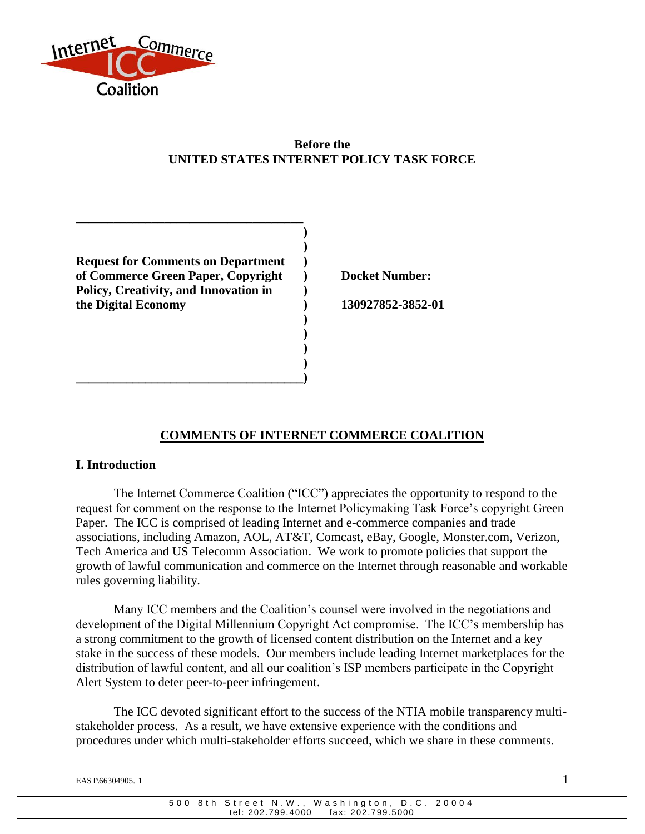

## **Before the UNITED STATES INTERNET POLICY TASK FORCE**

 **) ) Request for Comments on Department ) of Commerce Green Paper, Copyright ) Docket Number: Policy, Creativity, and Innovation in ) the Digital Economy ) 130927852-3852-01 ) ) ) )**

**\_\_\_\_\_\_\_\_\_\_\_\_\_\_\_\_\_\_\_\_\_\_\_\_\_\_\_\_\_\_\_\_\_\_\_\_)**

**\_\_\_\_\_\_\_\_\_\_\_\_\_\_\_\_\_\_\_\_\_\_\_\_\_\_\_\_\_\_\_\_\_\_\_\_**

# **COMMENTS OF INTERNET COMMERCE COALITION**

## **I. Introduction**

The Internet Commerce Coalition ("ICC") appreciates the opportunity to respond to the request for comment on the response to the Internet Policymaking Task Force's copyright Green Paper. The ICC is comprised of leading Internet and e-commerce companies and trade associations, including Amazon, AOL, AT&T, Comcast, eBay, Google, Monster.com, Verizon, Tech America and US Telecomm Association. We work to promote policies that support the growth of lawful communication and commerce on the Internet through reasonable and workable rules governing liability.

Many ICC members and the Coalition's counsel were involved in the negotiations and development of the Digital Millennium Copyright Act compromise. The ICC's membership has a strong commitment to the growth of licensed content distribution on the Internet and a key stake in the success of these models. Our members include leading Internet marketplaces for the distribution of lawful content, and all our coalition's ISP members participate in the Copyright Alert System to deter peer-to-peer infringement.

The ICC devoted significant effort to the success of the NTIA mobile transparency multistakeholder process. As a result, we have extensive experience with the conditions and procedures under which multi-stakeholder efforts succeed, which we share in these comments.

 $\frac{1}{2}$  EAST\66304905. 1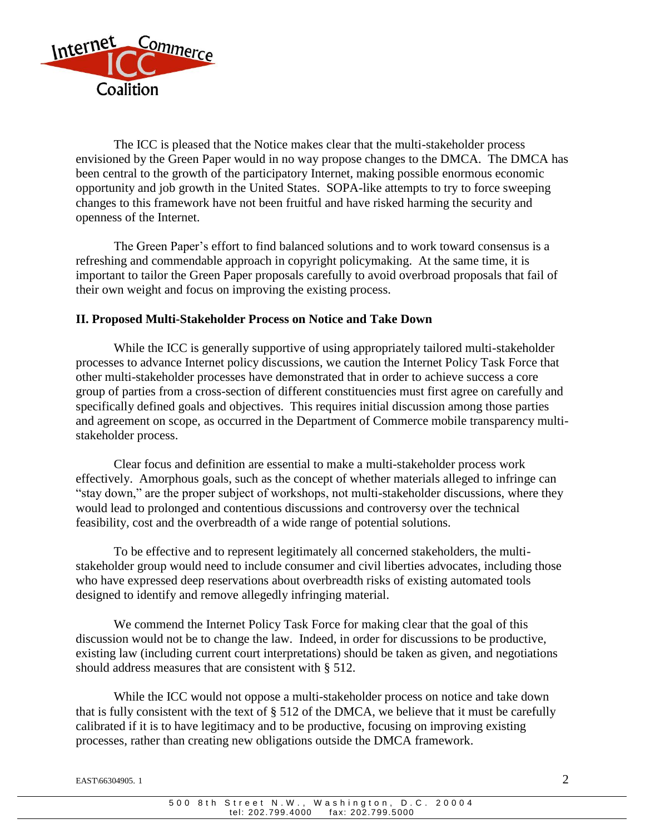

The ICC is pleased that the Notice makes clear that the multi-stakeholder process envisioned by the Green Paper would in no way propose changes to the DMCA. The DMCA has been central to the growth of the participatory Internet, making possible enormous economic opportunity and job growth in the United States. SOPA-like attempts to try to force sweeping changes to this framework have not been fruitful and have risked harming the security and openness of the Internet.

The Green Paper's effort to find balanced solutions and to work toward consensus is a refreshing and commendable approach in copyright policymaking. At the same time, it is important to tailor the Green Paper proposals carefully to avoid overbroad proposals that fail of their own weight and focus on improving the existing process.

#### **II. Proposed Multi-Stakeholder Process on Notice and Take Down**

While the ICC is generally supportive of using appropriately tailored multi-stakeholder processes to advance Internet policy discussions, we caution the Internet Policy Task Force that other multi-stakeholder processes have demonstrated that in order to achieve success a core group of parties from a cross-section of different constituencies must first agree on carefully and specifically defined goals and objectives. This requires initial discussion among those parties and agreement on scope, as occurred in the Department of Commerce mobile transparency multistakeholder process.

Clear focus and definition are essential to make a multi-stakeholder process work effectively. Amorphous goals, such as the concept of whether materials alleged to infringe can "stay down," are the proper subject of workshops, not multi-stakeholder discussions, where they would lead to prolonged and contentious discussions and controversy over the technical feasibility, cost and the overbreadth of a wide range of potential solutions.

To be effective and to represent legitimately all concerned stakeholders, the multistakeholder group would need to include consumer and civil liberties advocates, including those who have expressed deep reservations about overbreadth risks of existing automated tools designed to identify and remove allegedly infringing material.

We commend the Internet Policy Task Force for making clear that the goal of this discussion would not be to change the law. Indeed, in order for discussions to be productive, existing law (including current court interpretations) should be taken as given, and negotiations should address measures that are consistent with § 512.

While the ICC would not oppose a multi-stakeholder process on notice and take down that is fully consistent with the text of § 512 of the DMCA, we believe that it must be carefully calibrated if it is to have legitimacy and to be productive, focusing on improving existing processes, rather than creating new obligations outside the DMCA framework.

 $\text{EAST}_66304905. 1$  2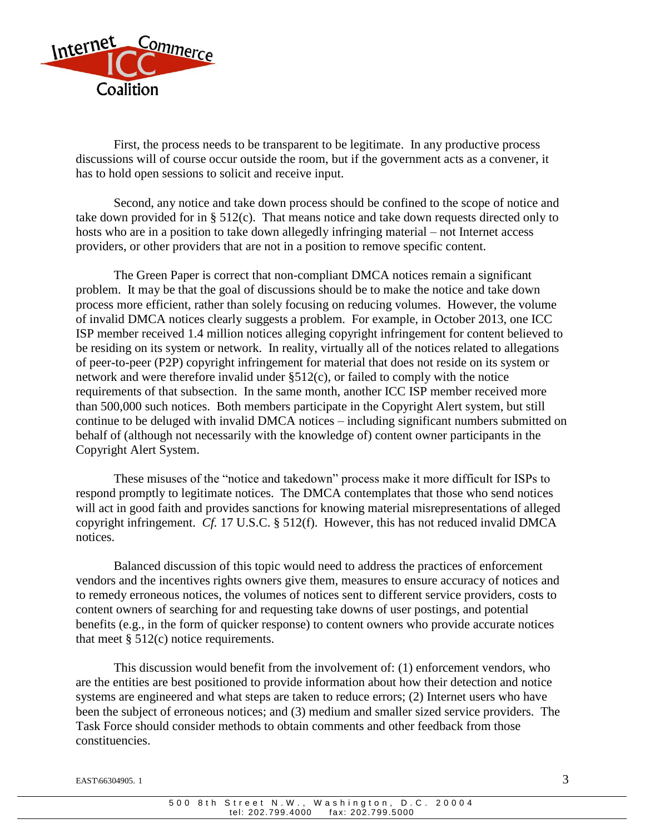

First, the process needs to be transparent to be legitimate. In any productive process discussions will of course occur outside the room, but if the government acts as a convener, it has to hold open sessions to solicit and receive input.

Second, any notice and take down process should be confined to the scope of notice and take down provided for in § 512(c). That means notice and take down requests directed only to hosts who are in a position to take down allegedly infringing material – not Internet access providers, or other providers that are not in a position to remove specific content.

The Green Paper is correct that non-compliant DMCA notices remain a significant problem. It may be that the goal of discussions should be to make the notice and take down process more efficient, rather than solely focusing on reducing volumes. However, the volume of invalid DMCA notices clearly suggests a problem. For example, in October 2013, one ICC ISP member received 1.4 million notices alleging copyright infringement for content believed to be residing on its system or network. In reality, virtually all of the notices related to allegations of peer-to-peer (P2P) copyright infringement for material that does not reside on its system or network and were therefore invalid under §512(c), or failed to comply with the notice requirements of that subsection. In the same month, another ICC ISP member received more than 500,000 such notices. Both members participate in the Copyright Alert system, but still continue to be deluged with invalid DMCA notices – including significant numbers submitted on behalf of (although not necessarily with the knowledge of) content owner participants in the Copyright Alert System.

These misuses of the "notice and takedown" process make it more difficult for ISPs to respond promptly to legitimate notices. The DMCA contemplates that those who send notices will act in good faith and provides sanctions for knowing material misrepresentations of alleged copyright infringement. *Cf.* 17 U.S.C. § 512(f). However, this has not reduced invalid DMCA notices.

Balanced discussion of this topic would need to address the practices of enforcement vendors and the incentives rights owners give them, measures to ensure accuracy of notices and to remedy erroneous notices, the volumes of notices sent to different service providers, costs to content owners of searching for and requesting take downs of user postings, and potential benefits (e.g., in the form of quicker response) to content owners who provide accurate notices that meet  $\S 512(c)$  notice requirements.

This discussion would benefit from the involvement of: (1) enforcement vendors, who are the entities are best positioned to provide information about how their detection and notice systems are engineered and what steps are taken to reduce errors; (2) Internet users who have been the subject of erroneous notices; and (3) medium and smaller sized service providers. The Task Force should consider methods to obtain comments and other feedback from those constituencies.

EAST $\frac{66304905}{1}$ .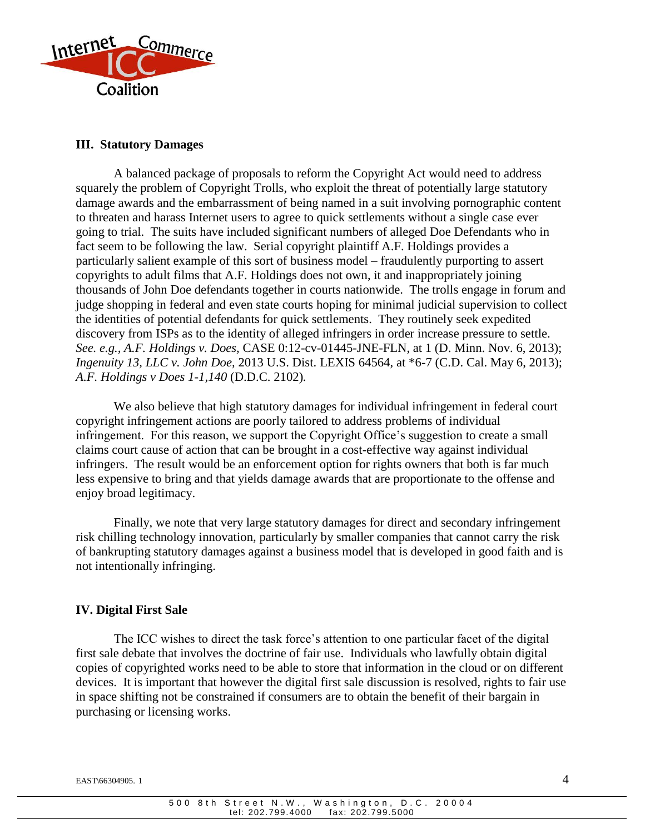

## **III. Statutory Damages**

A balanced package of proposals to reform the Copyright Act would need to address squarely the problem of Copyright Trolls, who exploit the threat of potentially large statutory damage awards and the embarrassment of being named in a suit involving pornographic content to threaten and harass Internet users to agree to quick settlements without a single case ever going to trial. The suits have included significant numbers of alleged Doe Defendants who in fact seem to be following the law. Serial copyright plaintiff A.F. Holdings provides a particularly salient example of this sort of business model – fraudulently purporting to assert copyrights to adult films that A.F. Holdings does not own, it and inappropriately joining thousands of John Doe defendants together in courts nationwide. The trolls engage in forum and judge shopping in federal and even state courts hoping for minimal judicial supervision to collect the identities of potential defendants for quick settlements. They routinely seek expedited discovery from ISPs as to the identity of alleged infringers in order increase pressure to settle. *See. e.g., A.F. Holdings v. Does,* CASE 0:12-cv-01445-JNE-FLN, at 1 (D. Minn. Nov. 6, 2013); *Ingenuity 13, LLC v. John Doe,* 2013 U.S. Dist. LEXIS 64564, at \*6-7 (C.D. Cal. May 6, 2013); *A.F. Holdings v Does 1-1,140* (D.D.C. 2102)*.* 

We also believe that high statutory damages for individual infringement in federal court copyright infringement actions are poorly tailored to address problems of individual infringement. For this reason, we support the Copyright Office's suggestion to create a small claims court cause of action that can be brought in a cost-effective way against individual infringers. The result would be an enforcement option for rights owners that both is far much less expensive to bring and that yields damage awards that are proportionate to the offense and enjoy broad legitimacy.

Finally, we note that very large statutory damages for direct and secondary infringement risk chilling technology innovation, particularly by smaller companies that cannot carry the risk of bankrupting statutory damages against a business model that is developed in good faith and is not intentionally infringing.

## **IV. Digital First Sale**

The ICC wishes to direct the task force's attention to one particular facet of the digital first sale debate that involves the doctrine of fair use. Individuals who lawfully obtain digital copies of copyrighted works need to be able to store that information in the cloud or on different devices. It is important that however the digital first sale discussion is resolved, rights to fair use in space shifting not be constrained if consumers are to obtain the benefit of their bargain in purchasing or licensing works.

 $\epsilon$ AST\66304905. 1 4